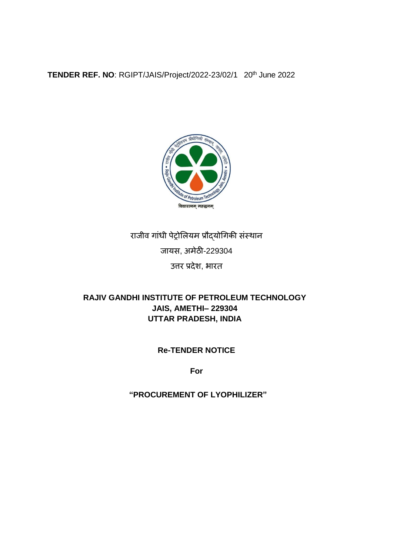**TENDER REF. NO**: RGIPT/JAIS/Project/2022-23/02/1 20th June 2022



# राजीव गांधी पेट्रोलियम प्रौद्योगिकी संस्थान जायस, अमेठी-229304 उत्तर प्रदेश, भारत

# **RAJIV GANDHI INSTITUTE OF PETROLEUM TECHNOLOGY JAIS, AMETHI– 229304 UTTAR PRADESH, INDIA**

# **Re-TENDER NOTICE**

**For** 

# **"PROCUREMENT OF LYOPHILIZER"**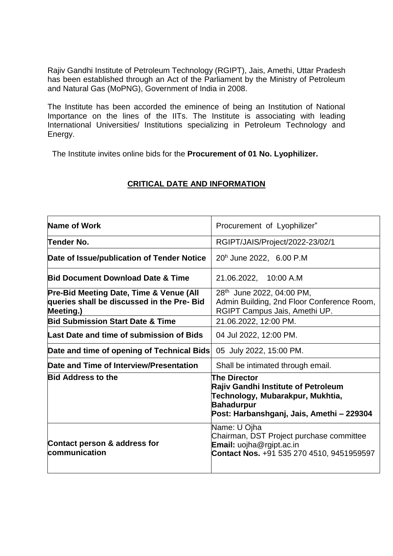Rajiv Gandhi Institute of Petroleum Technology (RGIPT), Jais, Amethi, Uttar Pradesh has been established through an Act of the Parliament by the Ministry of Petroleum and Natural Gas (MoPNG), Government of India in 2008.

The Institute has been accorded the eminence of being an Institution of National Importance on the lines of the IITs. The Institute is associating with leading International Universities/ Institutions specializing in Petroleum Technology and Energy.

The Institute invites online bids for the **Procurement of 01 No. Lyophilizer.**

| Name of Work                                                                                       | Procurement of Lyophilizer"                                                                                                                                             |
|----------------------------------------------------------------------------------------------------|-------------------------------------------------------------------------------------------------------------------------------------------------------------------------|
| Tender No.                                                                                         | RGIPT/JAIS/Project/2022-23/02/1                                                                                                                                         |
| Date of Issue/publication of Tender Notice                                                         | 20h June 2022, 6.00 P.M                                                                                                                                                 |
| <b>Bid Document Download Date &amp; Time</b>                                                       | 21.06.2022, 10:00 A.M                                                                                                                                                   |
| Pre-Bid Meeting Date, Time & Venue (All<br>queries shall be discussed in the Pre- Bid<br>Meeting.) | 28 <sup>th</sup> June 2022, 04:00 PM,<br>Admin Building, 2nd Floor Conference Room,<br>RGIPT Campus Jais, Amethi UP.                                                    |
| <b>Bid Submission Start Date &amp; Time</b>                                                        | 21.06.2022, 12:00 PM.                                                                                                                                                   |
| Last Date and time of submission of Bids                                                           | 04 Jul 2022, 12:00 PM.                                                                                                                                                  |
| Date and time of opening of Technical Bids                                                         | 05 July 2022, 15:00 PM.                                                                                                                                                 |
| Date and Time of Interview/Presentation                                                            | Shall be intimated through email.                                                                                                                                       |
| <b>Bid Address to the</b>                                                                          | <b>The Director</b><br><b>Rajiv Gandhi Institute of Petroleum</b><br>Technology, Mubarakpur, Mukhtia,<br><b>Bahadurpur</b><br>Post: Harbanshganj, Jais, Amethi - 229304 |
| Contact person & address for<br>communication                                                      | Name: U Ojha<br>Chairman, DST Project purchase committee<br><b>Email:</b> uojha@rgipt.ac.in<br>Contact Nos. +91 535 270 4510, 9451959597                                |

#### **CRITICAL DATE AND INFORMATION**